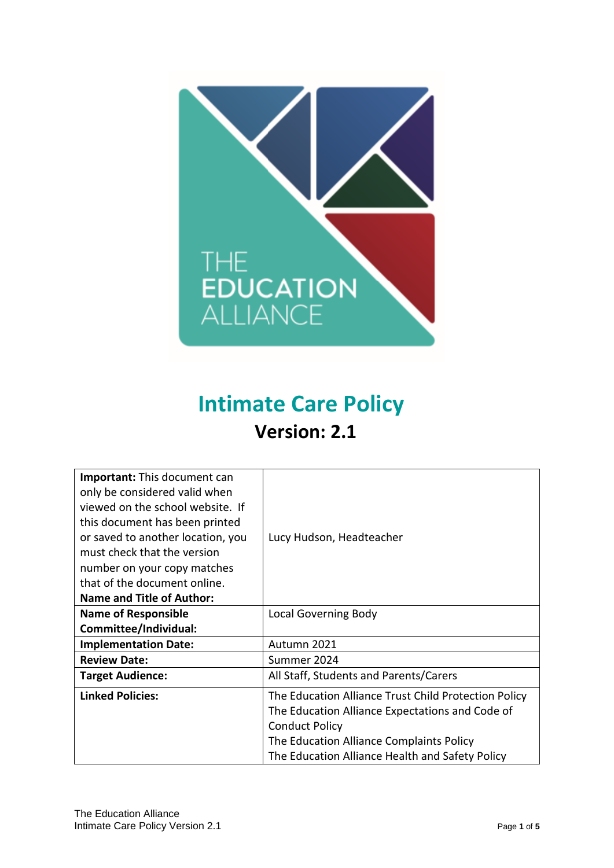

# **Intimate Care Policy Version: 2.1**

| <b>Important:</b> This document can<br>only be considered valid when<br>viewed on the school website. If<br>this document has been printed<br>or saved to another location, you<br>must check that the version<br>number on your copy matches<br>that of the document online.<br><b>Name and Title of Author:</b> | Lucy Hudson, Headteacher                                                                                                         |  |
|-------------------------------------------------------------------------------------------------------------------------------------------------------------------------------------------------------------------------------------------------------------------------------------------------------------------|----------------------------------------------------------------------------------------------------------------------------------|--|
| <b>Name of Responsible</b>                                                                                                                                                                                                                                                                                        | Local Governing Body                                                                                                             |  |
| Committee/Individual:                                                                                                                                                                                                                                                                                             |                                                                                                                                  |  |
| <b>Implementation Date:</b>                                                                                                                                                                                                                                                                                       | Autumn 2021                                                                                                                      |  |
| <b>Review Date:</b>                                                                                                                                                                                                                                                                                               | Summer 2024                                                                                                                      |  |
| <b>Target Audience:</b>                                                                                                                                                                                                                                                                                           | All Staff, Students and Parents/Carers                                                                                           |  |
| <b>Linked Policies:</b>                                                                                                                                                                                                                                                                                           | The Education Alliance Trust Child Protection Policy<br>The Education Alliance Expectations and Code of<br><b>Conduct Policy</b> |  |
|                                                                                                                                                                                                                                                                                                                   | The Education Alliance Complaints Policy<br>The Education Alliance Health and Safety Policy                                      |  |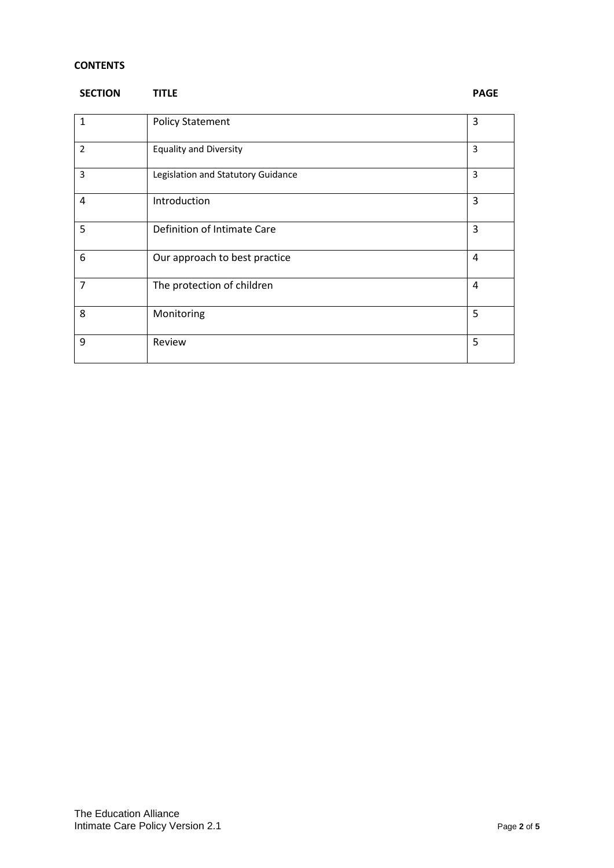# **CONTENTS**

| <b>SECTION</b> | <b>TITLE</b>                       | <b>PAGE</b>    |
|----------------|------------------------------------|----------------|
| $\mathbf{1}$   | <b>Policy Statement</b>            | 3              |
| $\overline{2}$ | <b>Equality and Diversity</b>      | 3              |
| 3              | Legislation and Statutory Guidance | $\overline{3}$ |
| 4              | Introduction                       | 3              |
| 5              | Definition of Intimate Care        | 3              |
| 6              | Our approach to best practice      | 4              |
| $\overline{7}$ | The protection of children         | 4              |
| 8              | Monitoring                         | 5              |
| 9              | Review                             | 5              |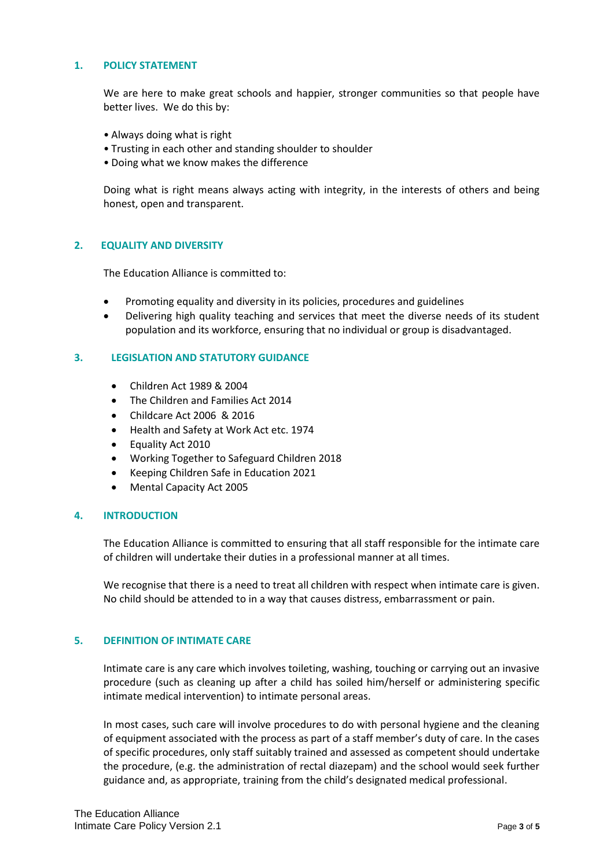## **1. POLICY STATEMENT**

We are here to make great schools and happier, stronger communities so that people have better lives. We do this by:

- Always doing what is right
- Trusting in each other and standing shoulder to shoulder
- Doing what we know makes the difference

Doing what is right means always acting with integrity, in the interests of others and being honest, open and transparent.

## **2. EQUALITY AND DIVERSITY**

The Education Alliance is committed to:

- Promoting equality and diversity in its policies, procedures and guidelines
- Delivering high quality teaching and services that meet the diverse needs of its student population and its workforce, ensuring that no individual or group is disadvantaged.

#### **3. LEGISLATION AND STATUTORY GUIDANCE**

- Children Act 1989 & 2004
- The Children and Families Act 2014
- Childcare Act 2006 & 2016
- Health and Safety at Work Act etc. 1974
- Equality Act 2010
- Working Together to Safeguard Children 2018
- Keeping Children Safe in Education 2021
- Mental Capacity Act 2005

## **4. INTRODUCTION**

The Education Alliance is committed to ensuring that all staff responsible for the intimate care of children will undertake their duties in a professional manner at all times.

We recognise that there is a need to treat all children with respect when intimate care is given. No child should be attended to in a way that causes distress, embarrassment or pain.

## **5. DEFINITION OF INTIMATE CARE**

Intimate care is any care which involves toileting, washing, touching or carrying out an invasive procedure (such as cleaning up after a child has soiled him/herself or administering specific intimate medical intervention) to intimate personal areas.

In most cases, such care will involve procedures to do with personal hygiene and the cleaning of equipment associated with the process as part of a staff member's duty of care. In the cases of specific procedures, only staff suitably trained and assessed as competent should undertake the procedure, (e.g. the administration of rectal diazepam) and the school would seek further guidance and, as appropriate, training from the child's designated medical professional.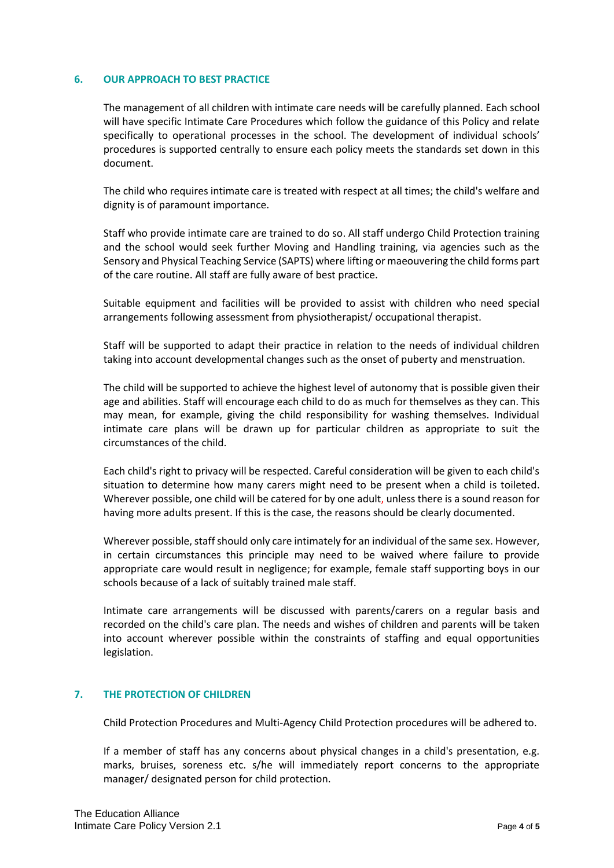#### **6. OUR APPROACH TO BEST PRACTICE**

The management of all children with intimate care needs will be carefully planned. Each school will have specific Intimate Care Procedures which follow the guidance of this Policy and relate specifically to operational processes in the school. The development of individual schools' procedures is supported centrally to ensure each policy meets the standards set down in this document.

The child who requires intimate care is treated with respect at all times; the child's welfare and dignity is of paramount importance.

Staff who provide intimate care are trained to do so. All staff undergo Child Protection training and the school would seek further Moving and Handling training, via agencies such as the Sensory and Physical Teaching Service (SAPTS) where lifting or maeouvering the child forms part of the care routine. All staff are fully aware of best practice.

Suitable equipment and facilities will be provided to assist with children who need special arrangements following assessment from physiotherapist/ occupational therapist.

Staff will be supported to adapt their practice in relation to the needs of individual children taking into account developmental changes such as the onset of puberty and menstruation.

The child will be supported to achieve the highest level of autonomy that is possible given their age and abilities. Staff will encourage each child to do as much for themselves as they can. This may mean, for example, giving the child responsibility for washing themselves. Individual intimate care plans will be drawn up for particular children as appropriate to suit the circumstances of the child.

Each child's right to privacy will be respected. Careful consideration will be given to each child's situation to determine how many carers might need to be present when a child is toileted. Wherever possible, one child will be catered for by one adult, unless there is a sound reason for having more adults present. If this is the case, the reasons should be clearly documented.

Wherever possible, staff should only care intimately for an individual of the same sex. However, in certain circumstances this principle may need to be waived where failure to provide appropriate care would result in negligence; for example, female staff supporting boys in our schools because of a lack of suitably trained male staff.

Intimate care arrangements will be discussed with parents/carers on a regular basis and recorded on the child's care plan. The needs and wishes of children and parents will be taken into account wherever possible within the constraints of staffing and equal opportunities legislation.

## **7. THE PROTECTION OF CHILDREN**

Child Protection Procedures and Multi-Agency Child Protection procedures will be adhered to.

If a member of staff has any concerns about physical changes in a child's presentation, e.g. marks, bruises, soreness etc. s/he will immediately report concerns to the appropriate manager/ designated person for child protection.